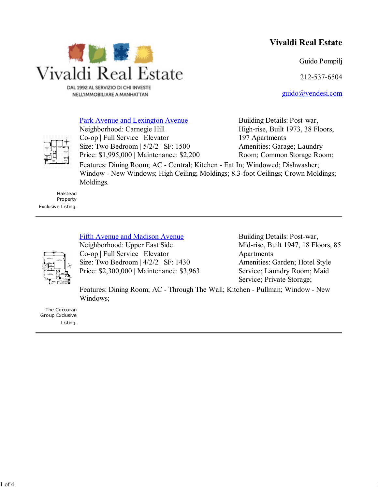# **Vivaldi Real Estate**

Guido Pompilj

212-537-6504

guido@vendesi.com



DAL 1992 AL SERVIZIO DI CHI INVESTE NELL'IMMOBILIARE A MANHATTAN

# Park Avenue and Lexington Avenue

Neighborhood: Carnegie Hill Co-op | Full Service | Elevator Size: Two Bedroom | 5/2/2 | SF: 1500 Price: \$1,995,000 | Maintenance: \$2,200

Building Details: Post-war, High-rise, Built 1973, 38 Floors, 197 Apartments Amenities: Garage; Laundry Room; Common Storage Room;

Features: Dining Room; AC - Central; Kitchen - Eat In; Windowed; Dishwasher; Window - New Windows; High Ceiling; Moldings; 8.3-foot Ceilings; Crown Moldings; Moldings.

Halstead Property Exclusive Listing.

# Fifth Avenue and Madison Avenue

Neighborhood: Upper East Side Co-op | Full Service | Elevator Size: Two Bedroom | 4/2/2 | SF: 1430 Price: \$2,300,000 | Maintenance: \$3,963 Building Details: Post-war, Mid-rise, Built 1947, 18 Floors, 85 Apartments Amenities: Garden; Hotel Style Service; Laundry Room; Maid Service; Private Storage;

Features: Dining Room; AC - Through The Wall; Kitchen - Pullman; Window - New Windows;

The Corcoran Group Exclusive Listing.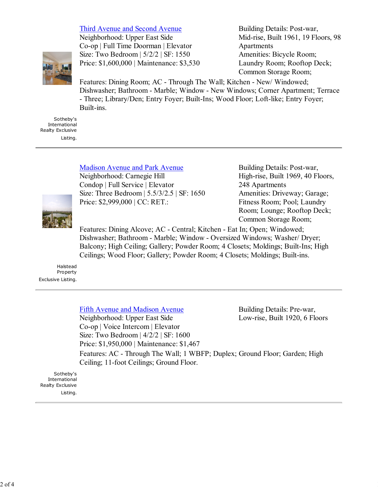#### Third Avenue and Second Avenue



Neighborhood: Upper East Side Co-op | Full Time Doorman | Elevator Size: Two Bedroom | 5/2/2 | SF: 1550 Price: \$1,600,000 | Maintenance: \$3,530 Building Details: Post-war, Mid-rise, Built 1961, 19 Floors, 98 Apartments Amenities: Bicycle Room; Laundry Room; Rooftop Deck; Common Storage Room;

Features: Dining Room; AC - Through The Wall; Kitchen - New/ Windowed; Dishwasher; Bathroom - Marble; Window - New Windows; Corner Apartment; Terrace - Three; Library/Den; Entry Foyer; Built-Ins; Wood Floor; Loft-like; Entry Foyer; Built-ins.

Sotheby's International Realty Exclusive Listing.

### Madison Avenue and Park Avenue

Neighborhood: Carnegie Hill Condop | Full Service | Elevator Size: Three Bedroom | 5.5/3/2.5 | SF: 1650 Price: \$2,999,000 | CC: RET.:

Building Details: Post-war, High-rise, Built 1969, 40 Floors, 248 Apartments Amenities: Driveway; Garage; Fitness Room; Pool; Laundry Room; Lounge; Rooftop Deck; Common Storage Room;

Features: Dining Alcove; AC - Central; Kitchen - Eat In; Open; Windowed; Dishwasher; Bathroom - Marble; Window - Oversized Windows; Washer/ Dryer; Balcony; High Ceiling; Gallery; Powder Room; 4 Closets; Moldings; Built-Ins; High Ceilings; Wood Floor; Gallery; Powder Room; 4 Closets; Moldings; Built-ins.

Halstead **Property** Exclusive Listing.

### Fifth Avenue and Madison Avenue

Neighborhood: Upper East Side Co-op | Voice Intercom | Elevator Size: Two Bedroom | 4/2/2 | SF: 1600 Price: \$1,950,000 | Maintenance: \$1,467

Building Details: Pre-war, Low-rise, Built 1920, 6 Floors

Features: AC - Through The Wall; 1 WBFP; Duplex; Ground Floor; Garden; High Ceiling; 11-foot Ceilings; Ground Floor.

Sotheby's International Realty Exclusive Listing.

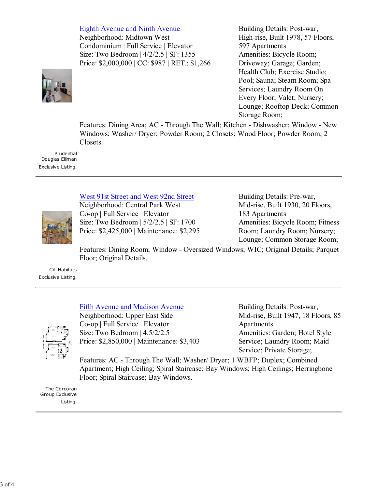Eighth Avenue and Ninth Avenue

Neighborhood: Midtown West Condominium | Full Service | Elevator Size: Two Bedroom | 4/2/2.5 | SF: 1355 Price: \$2,000,000 | CC: \$987 | RET.: \$1,266



Building Details: Post-war, High-rise, Built 1978, 57 Floors, 597 Apartments Amenities: Bicycle Room; Driveway; Garage; Garden; Health Club; Exercise Studio; Pool; Sauna; Steam Room; Spa Services; Laundry Room On Every Floor; Valet; Nursery; Lounge; Rooftop Deck; Common Storage Room;

Features: Dining Area; AC - Through The Wall; Kitchen - Dishwasher; Window - New Windows; Washer/ Dryer; Powder Room; 2 Closets; Wood Floor; Powder Room; 2 Closets.

Prudential Douglas Elliman Exclusive Listing.

### West 91st Street and West 92nd Street



Neighborhood: Central Park West Co-op | Full Service | Elevator Size: Two Bedroom | 5/2/2.5 | SF: 1700 Price: \$2,425,000 | Maintenance: \$2,295

Building Details: Pre-war, Mid-rise, Built 1930, 20 Floors, 183 Apartments Amenities: Bicycle Room; Fitness Room; Laundry Room; Nursery; Lounge; Common Storage Room;

Features: Dining Room; Window - Oversized Windows; WIC; Original Details; Parquet Floor; Original Details.

Citi Habitats Exclusive Listing.

### Fifth Avenue and Madison Avenue



Neighborhood: Upper East Side Co-op | Full Service | Elevator Size: Two Bedroom | 4.5/2/2.5 Price: \$2,850,000 | Maintenance: \$3,403

Building Details: Post-war, Mid-rise, Built 1947, 18 Floors, 85 Apartments Amenities: Garden; Hotel Style Service; Laundry Room; Maid Service; Private Storage;

Features: AC - Through The Wall; Washer/ Dryer; 1 WBFP; Duplex; Combined Apartment; High Ceiling; Spiral Staircase; Bay Windows; High Ceilings; Herringbone Floor; Spiral Staircase; Bay Windows.

The Corcoran Group Exclusive Listing.